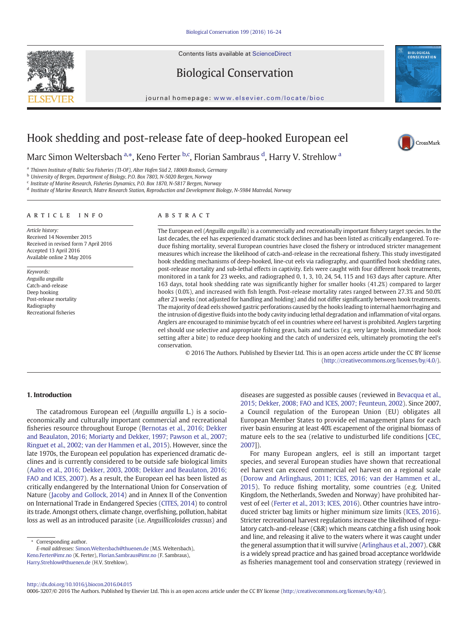Contents lists available at ScienceDirect

# Biological Conservation

journal homepage: <www.elsevier.com/locate/bioc>



CrossMark

# Hook shedding and post-release fate of deep-hooked European eel

Marc Simon Weltersbach a,\*, Keno Ferter b,c, Florian Sambraus <sup>d</sup>, Harry V. Strehlow <sup>a</sup>

<sup>a</sup> Thünen Institute of Baltic Sea Fisheries (TI-OF), Alter Hafen Süd 2, 18069 Rostock, Germany

<sup>b</sup> University of Bergen, Department of Biology, P.O. Box 7803, N-5020 Bergen, Norway

<sup>c</sup> Institute of Marine Research, Fisheries Dynamics, P.O. Box 1870, N-5817 Bergen, Norway

<sup>d</sup> Institute of Marine Research, Matre Research Station, Reproduction and Development Biology, N-5984 Matredal, Norway

#### article info abstract

Article history: Received 14 November 2015 Received in revised form 7 April 2016 Accepted 13 April 2016 Available online 2 May 2016

Keywords: Anguilla anguilla Catch-and-release Deep hooking Post-release mortality Radiography Recreational fisheries

The European eel (Anguilla anguilla) is a commercially and recreationally important fishery target species. In the last decades, the eel has experienced dramatic stock declines and has been listed as critically endangered. To reduce fishing mortality, several European countries have closed the fishery or introduced stricter management measures which increase the likelihood of catch-and-release in the recreational fishery. This study investigated hook shedding mechanisms of deep-hooked, line-cut eels via radiography, and quantified hook shedding rates, post-release mortality and sub-lethal effects in captivity. Eels were caught with four different hook treatments, monitored in a tank for 23 weeks, and radiographed 0, 1, 3, 10, 24, 54, 115 and 163 days after capture. After 163 days, total hook shedding rate was significantly higher for smaller hooks (41.2%) compared to larger hooks (0.0%), and increased with fish length. Post-release mortality rates ranged between 27.3% and 50.0% after 23 weeks (not adjusted for handling and holding) and did not differ significantly between hook treatments. The majority of dead eels showed gastric perforations caused by the hooks leading to internal haemorrhaging and the intrusion of digestive fluids into the body cavity inducing lethal degradation and inflammation of vital organs. Anglers are encouraged to minimise bycatch of eel in countries where eel harvest is prohibited. Anglers targeting eel should use selective and appropriate fishing gears, baits and tactics (e.g. very large hooks, immediate hook setting after a bite) to reduce deep hooking and the catch of undersized eels, ultimately promoting the eel's conservation.

© 2016 The Authors. Published by Elsevier Ltd. This is an open access article under the CC BY license [\(http://creativecommons.org/licenses/by/4.0/](http://creativecommons.org/licenses/by/4.0/)).

# 1. Introduction

The catadromous European eel (Anguilla anguilla L.) is a socioeconomically and culturally important commercial and recreational fisheries resource throughout Europe ([Bernotas et al., 2016; Dekker](#page-7-0) [and Beaulaton, 2016; Moriarty and Dekker, 1997; Pawson et al., 2007;](#page-7-0) [Ringuet et al., 2002; van der Hammen et al., 2015](#page-7-0)). However, since the late 1970s, the European eel population has experienced dramatic declines and is currently considered to be outside safe biological limits [\(Aalto et al., 2016; Dekker, 2003, 2008; Dekker and Beaulaton, 2016;](#page-7-0) [FAO and ICES, 2007](#page-7-0)). As a result, the European eel has been listed as critically endangered by the International Union for Conservation of Nature [\(Jacoby and Gollock, 2014\)](#page-8-0) and in Annex II of the Convention on International Trade in Endangered Species [\(CITES, 2014](#page-7-0)) to control its trade. Amongst others, climate change, overfishing, pollution, habitat loss as well as an introduced parasite (i.e. Anguillicoloides crassus) and

⁎ Corresponding author.

diseases are suggested as possible causes (reviewed in [Bevacqua et al.,](#page-7-0) [2015; Dekker, 2008; FAO and ICES, 2007; Feunteun, 2002](#page-7-0)). Since 2007, a Council regulation of the European Union (EU) obligates all European Member States to provide eel management plans for each river basin ensuring at least 40% escapement of the original biomass of mature eels to the sea (relative to undisturbed life conditions [[CEC,](#page-7-0) [2007\]](#page-7-0)).

For many European anglers, eel is still an important target species, and several European studies have shown that recreational eel harvest can exceed commercial eel harvest on a regional scale [\(Dorow and Arlinghaus, 2011; ICES, 2016; van der Hammen et al.,](#page-7-0) [2015](#page-7-0)). To reduce fishing mortality, some countries (e.g. United Kingdom, the Netherlands, Sweden and Norway) have prohibited harvest of eel ([Ferter et al., 2013; ICES, 2016\)](#page-7-0). Other countries have introduced stricter bag limits or higher minimum size limits [\(ICES, 2016](#page-8-0)). Stricter recreational harvest regulations increase the likelihood of regulatory catch-and-release (C&R) which means catching a fish using hook and line, and releasing it alive to the waters where it was caught under the general assumption that it will survive ([Arlinghaus et al., 2007](#page-7-0)). C&R is a widely spread practice and has gained broad acceptance worldwide as fisheries management tool and conservation strategy (reviewed in

<http://dx.doi.org/10.1016/j.biocon.2016.04.015>

0006-3207/© 2016 The Authors. Published by Elsevier Ltd. This is an open access article under the CC BY license [\(http://creativecommons.org/licenses/by/4.0/\)](http://creativecommons.org/licenses/by/4.0/).



E-mail addresses: Simon.Weltersbach@thuenen.de (M.S. Weltersbach), Keno.Ferter@imr.no (K. Ferter), Florian.Sambraus@imr.no (F. Sambraus), [Harry.Strehlow@thuenen.de](mailto:Harry.Strehlow@thuenen.de) (H.V. Strehlow).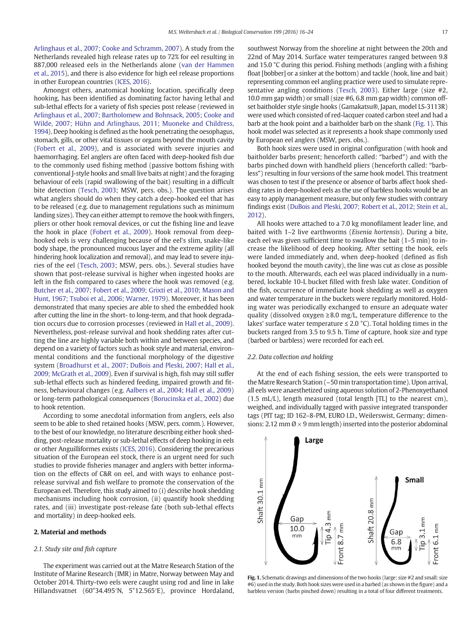<span id="page-1-0"></span>[Arlinghaus et al., 2007; Cooke and Schramm, 2007\)](#page-7-0). A study from the Netherlands revealed high release rates up to 72% for eel resulting in 887,000 released eels in the Netherlands alone ([van der Hammen](#page-8-0) [et al., 2015](#page-8-0)), and there is also evidence for high eel release proportions in other European countries [\(ICES, 2016](#page-8-0)).

Amongst others, anatomical hooking location, specifically deep hooking, has been identified as dominating factor having lethal and sub-lethal effects for a variety of fish species post release (reviewed in [Arlinghaus et al., 2007; Bartholomew and Bohnsack, 2005; Cooke and](#page-7-0) [Wilde, 2007; Hühn and Arlinghaus, 2011; Muoneke and Childress,](#page-7-0) [1994](#page-7-0)). Deep hooking is defined as the hook penetrating the oesophagus, stomach, gills, or other vital tissues or organs beyond the mouth cavity [\(Fobert et al., 2009](#page-7-0)), and is associated with severe injuries and haemorrhaging. Eel anglers are often faced with deep-hooked fish due to the commonly used fishing method (passive bottom fishing with conventional J-style hooks and small live baits at night) and the foraging behaviour of eels (rapid swallowing of the bait) resulting in a difficult bite detection [\(Tesch, 2003;](#page-8-0) MSW, pers. obs.). The question arises what anglers should do when they catch a deep-hooked eel that has to be released (e.g. due to management regulations such as minimum landing sizes). They can either attempt to remove the hook with fingers, pliers or other hook removal devices, or cut the fishing line and leave the hook in place [\(Fobert et al., 2009](#page-7-0)). Hook removal from deephooked eels is very challenging because of the eel's slim, snake-like body shape, the pronounced mucous layer and the extreme agility (all hindering hook localization and removal), and may lead to severe injuries of the eel [\(Tesch, 2003](#page-8-0); MSW, pers. obs.). Several studies have shown that post-release survival is higher when ingested hooks are left in the fish compared to cases where the hook was removed (e.g. [Butcher et al., 2007; Fobert et al., 2009; Grixti et al., 2010; Mason and](#page-7-0) [Hunt, 1967; Tsuboi et al., 2006; Warner, 1979\)](#page-7-0). Moreover, it has been demonstrated that many species are able to shed the embedded hook after cutting the line in the short- to long-term, and that hook degradation occurs due to corrosion processes (reviewed in [Hall et al., 2009](#page-8-0)). Nevertheless, post-release survival and hook shedding rates after cutting the line are highly variable both within and between species, and depend on a variety of factors such as hook style and material, environmental conditions and the functional morphology of the digestive system [\(Broadhurst et al., 2007; DuBois and Pleski, 2007; Hall et al.,](#page-7-0) [2009; McGrath et al., 2009](#page-7-0)). Even if survival is high, fish may still suffer sub-lethal effects such as hindered feeding, impaired growth and fitness, behavioural changes (e.g. [Aalbers et al., 2004; Hall et al., 2009](#page-7-0)) or long-term pathological consequences [\(Borucinska et al., 2002](#page-7-0)) due to hook retention.

According to some anecdotal information from anglers, eels also seem to be able to shed retained hooks (MSW, pers. comm.). However, to the best of our knowledge, no literature describing either hook shedding, post-release mortality or sub-lethal effects of deep hooking in eels or other Anguilliformes exists ([ICES, 2016\)](#page-8-0). Considering the precarious situation of the European eel stock, there is an urgent need for such studies to provide fisheries manager and anglers with better information on the effects of C&R on eel, and with ways to enhance postrelease survival and fish welfare to promote the conservation of the European eel. Therefore, this study aimed to (i) describe hook shedding mechanisms including hook corrosion, (ii) quantify hook shedding rates, and (iii) investigate post-release fate (both sub-lethal effects and mortality) in deep-hooked eels.

#### 2. Material and methods

#### 2.1. Study site and fish capture

The experiment was carried out at the Matre Research Station of the Institute of Marine Research (IMR) in Matre, Norway between May and October 2014. Thirty-two eels were caught using rod and line in lake Hillandsvatnet (60°34.495′N, 5°12.565′E), province Hordaland, southwest Norway from the shoreline at night between the 20th and 22nd of May 2014. Surface water temperatures ranged between 9.8 and 15.0 °C during this period. Fishing methods (angling with a fishing float [bobber] or a sinker at the bottom) and tackle (hook, line and bait) representing common eel angling practice were used to simulate representative angling conditions [\(Tesch, 2003](#page-8-0)). Either large (size #2, 10.0 mm gap width) or small (size #6, 6.8 mm gap width) common offset baitholder style single hooks (Gamakatsu®, Japan, model LS-3113R) were used which consisted of red-lacquer coated carbon steel and had a barb at the hook point and a baitholder barb on the shank (Fig. 1). This hook model was selected as it represents a hook shape commonly used by European eel anglers (MSW, pers. obs.).

Both hook sizes were used in original configuration (with hook and baitholder barbs present; henceforth called: "barbed") and with the barbs pinched down with handheld pliers (henceforth called: "barbless") resulting in four versions of the same hook model. This treatment was chosen to test if the presence or absence of barbs affect hook shedding rates in deep-hooked eels as the use of barbless hooks would be an easy to apply management measure, but only few studies with contrary findings exist ([DuBois and Pleski, 2007; Robert et al., 2012; Stein et al.,](#page-7-0) [2012](#page-7-0)).

All hooks were attached to a 7.0 kg monofilament leader line, and baited with 1–2 live earthworms (Eisenia hortensis). During a bite, each eel was given sufficient time to swallow the bait (1–5 min) to increase the likelihood of deep hooking. After setting the hook, eels were landed immediately and, when deep-hooked (defined as fish hooked beyond the mouth cavity), the line was cut as close as possible to the mouth. Afterwards, each eel was placed individually in a numbered, lockable 10-L bucket filled with fresh lake water. Condition of the fish, occurrence of immediate hook shedding as well as oxygen and water temperature in the buckets were regularly monitored. Holding water was periodically exchanged to ensure an adequate water quality (dissolved oxygen  $\geq 8.0$  mg/L, temperature difference to the lakes' surface water temperature  $\leq 2.0$  °C). Total holding times in the buckets ranged from 3.5 to 9.5 h. Time of capture, hook size and type (barbed or barbless) were recorded for each eel.

# 2.2. Data collection and holding

At the end of each fishing session, the eels were transported to the Matre Research Station (~50 min transportation time). Upon arrival, all eels were anaesthetized using aqueous solution of 2-Phenoxyethanol (1.5 mL/L), length measured (total length [TL] to the nearest cm), weighed, and individually tagged with passive integrated transponder tags (PIT tag; ID 162–8-PM, EURO I.D., Weilerswist, Germany; dimensions: 2.12 mm  $\emptyset \times 9$  mm length) inserted into the posterior abdominal



Fig. 1. Schematic drawings and dimensions of the two hooks (large: size #2 and small: size #6) used in the study. Both hook sizes were used in a barbed (as shown in the figure) and a barbless version (barbs pinched down) resulting in a total of four different treatments.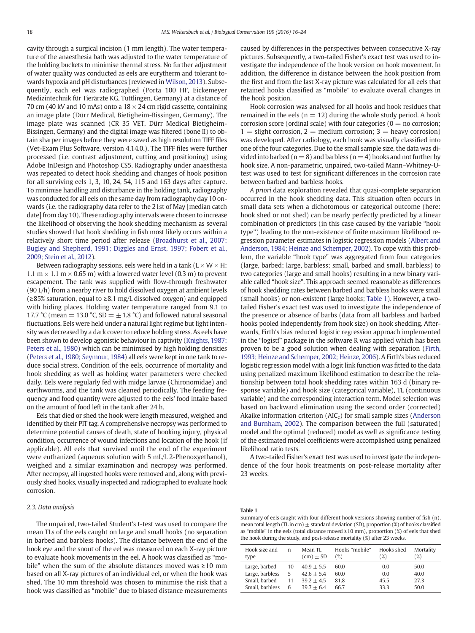<span id="page-2-0"></span>cavity through a surgical incision (1 mm length). The water temperature of the anaesthesia bath was adjusted to the water temperature of the holding buckets to minimise thermal stress. No further adjustment of water quality was conducted as eels are eurytherm and tolerant towards hypoxia and pH disturbances (reviewed in [Wilson, 2013](#page-8-0)). Subsequently, each eel was radiographed (Porta 100 HF, Eickemeyer Medizintechnik für Tierärzte KG, Tuttlingen, Germany) at a distance of 70 cm (40 kV and 10 mAs) onto a  $18 \times 24$  cm rigid cassette, containing an image plate (Dürr Medical, Bietigheim-Bissingen, Germany). The image plate was scanned (CR 35 VET, Dürr Medical Bietigheim-Bissingen, Germany) and the digital image was filtered (bone II) to obtain sharper images before they were saved as high resolution TIFF files (Vet-Exam Plus Software, version 4.14.0.). The TIFF files were further processed (i.e. contrast adjustment, cutting and positioning) using Adobe InDesign and Photoshop CS5. Radiography under anaesthesia was repeated to detect hook shedding and changes of hook position for all surviving eels 1, 3, 10, 24, 54, 115 and 163 days after capture. To minimise handling and disturbance in the holding tank, radiography was conducted for all eels on the same day from radiography day 10 onwards (i.e. the radiography data refer to the 21st of May [median catch date] from day 10). These radiography intervals were chosen to increase the likelihood of observing the hook shedding mechanism as several studies showed that hook shedding in fish most likely occurs within a relatively short time period after release [\(Broadhurst et al., 2007;](#page-7-0) [Bugley and Shepherd, 1991; Diggles and Ernst, 1997; Fobert et al.,](#page-7-0) [2009; Stein et al., 2012\)](#page-7-0).

Between radiography sessions, eels were held in a tank ( $L \times W \times H$ : 1.1  $m \times 1.1$   $m \times 0.65$  m) with a lowered water level (0.3 m) to prevent escapement. The tank was supplied with flow-through freshwater (90 L/h) from a nearby river to hold dissolved oxygen at ambient levels (≥85% saturation, equal to ≥8.1 mg/L dissolved oxygen) and equipped with hiding places. Holding water temperature ranged from 9.1 to 17.7 °C (mean = 13.0 °C, SD =  $\pm$  1.8 °C) and followed natural seasonal fluctuations. Eels were held under a natural light regime but light intensity was decreased by a dark cover to reduce holding stress. As eels have been shown to develop agonistic behaviour in captivity ([Knights, 1987;](#page-8-0) [Peters et al., 1980](#page-8-0)) which can be minimised by high holding densities [\(Peters et al., 1980; Seymour, 1984](#page-8-0)) all eels were kept in one tank to reduce social stress. Condition of the eels, occurrence of mortality and hook shedding as well as holding water parameters were checked daily. Eels were regularly fed with midge larvae (Chironomidae) and earthworms, and the tank was cleaned periodically. The feeding frequency and food quantity were adjusted to the eels' food intake based on the amount of food left in the tank after 24 h.

Eels that died or shed the hook were length measured, weighed and identified by their PIT tag. A comprehensive necropsy was performed to determine potential causes of death, state of hooking injury, physical condition, occurrence of wound infections and location of the hook (if applicable). All eels that survived until the end of the experiment were euthanized (aqueous solution with 5 mL/L 2-Phenoxyethanol), weighed and a similar examination and necropsy was performed. After necropsy, all ingested hooks were removed and, along with previously shed hooks, visually inspected and radiographed to evaluate hook corrosion.

#### 2.3. Data analysis

The unpaired, two-tailed Student's t-test was used to compare the mean TLs of the eels caught on large and small hooks (no separation in barbed and barbless hooks). The distance between the end of the hook eye and the snout of the eel was measured on each X-ray picture to evaluate hook movements in the eel. A hook was classified as "mobile" when the sum of the absolute distances moved was ≥10 mm based on all X-ray pictures of an individual eel, or when the hook was shed. The 10 mm threshold was chosen to minimise the risk that a hook was classified as "mobile" due to biased distance measurements

caused by differences in the perspectives between consecutive X-ray pictures. Subsequently, a two-tailed Fisher's exact test was used to investigate the independence of the hook version on hook movement. In addition, the difference in distance between the hook position from the first and from the last X-ray picture was calculated for all eels that retained hooks classified as "mobile" to evaluate overall changes in the hook position.

Hook corrosion was analysed for all hooks and hook residues that remained in the eels ( $n = 12$ ) during the whole study period. A hook corrosion score (ordinal scale) with four categories ( $0 =$  no corrosion;  $1 =$  slight corrosion,  $2 =$  medium corrosion;  $3 =$  heavy corrosion) was developed. After radiology, each hook was visually classified into one of the four categories. Due to the small sample size, the data was divided into barbed ( $n = 8$ ) and barbless ( $n = 4$ ) hooks and not further by hook size. A non-parametric, unpaired, two-tailed Mann–Whitney-Utest was used to test for significant differences in the corrosion rate between barbed and barbless hooks.

A priori data exploration revealed that quasi-complete separation occurred in the hook shedding data. This situation often occurs in small data sets when a dichotomous or categorical outcome (here: hook shed or not shed) can be nearly perfectly predicted by a linear combination of predictors (in this case caused by the variable "hook type") leading to the non-existence of finite maximum likelihood regression parameter estimates in logistic regression models [\(Albert and](#page-7-0) [Anderson, 1984; Heinze and Schemper, 2002\)](#page-7-0). To cope with this problem, the variable "hook type" was aggregated from four categories (large, barbed; large, barbless; small, barbed and small, barbless) to two categories (large and small hooks) resulting in a new binary variable called "hook size". This approach seemed reasonable as differences of hook shedding rates between barbed and barbless hooks were small (small hooks) or non-existent (large hooks; Table 1). However, a twotailed Fisher's exact test was used to investigate the independence of the presence or absence of barbs (data from all barbless and barbed hooks pooled independently from hook size) on hook shedding. Afterwards, Firth's bias reduced logistic regression approach implemented in the "logistf" package in the software R was applied which has been proven to be a good solution when dealing with separation [\(Firth,](#page-7-0) [1993; Heinze and Schemper, 2002; Heinze, 2006](#page-7-0)). A Firth's bias reduced logistic regression model with a logit link function was fitted to the data using penalized maximum likelihood estimation to describe the relationship between total hook shedding rates within 163 d (binary response variable) and hook size (categorical variable), TL (continuous variable) and the corresponding interaction term. Model selection was based on backward elimination using the second order (corrected) Akaike information criterion  $(AIC<sub>c</sub>)$  for small sample sizes ([Anderson](#page-7-0) [and Burnham, 2002\)](#page-7-0). The comparison between the full (saturated) model and the optimal (reduced) model as well as significance testing of the estimated model coefficients were accomplished using penalized likelihood ratio tests.

A two-tailed Fisher's exact test was used to investigate the independence of the four hook treatments on post-release mortality after 23 weeks.

# Table 1

Summary of eels caught with four different hook versions showing number of fish (n), mean total length (TL in cm)  $\pm$  standard deviation (SD), proportion (%) of hooks classified as "mobile" in the eels (total distance moved ≥10 mm), proportion (%) of eels that shed the hook during the study, and post-release mortality (%) after 23 weeks.

| Hook size and   | n  | Mean TL       | Hooks "mobile" | Hooks shed | Mortality |
|-----------------|----|---------------|----------------|------------|-----------|
| type            |    | $(cm) \pm SD$ | (%)            | (%)        | (%)       |
| Large, barbed   | 10 | $40.9 + 5.5$  | 60.0           | 0.0        | 50.0      |
| Large, barbless | .5 | $42.6 + 5.4$  | 60.0           | 0.0        | 40.0      |
| Small, barbed   | 11 | $39.2 + 4.5$  | 81.8           | 45.5       | 27.3      |
| Small, barbless | 6  | $39.7 + 6.4$  | 66 7           | 33.3       | 50.0      |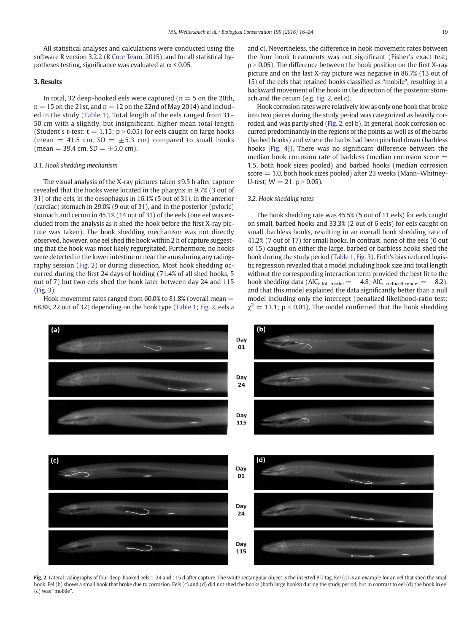<span id="page-3-0"></span>All statistical analyses and calculations were conducted using the software R version 3.2.2 [\(R Core Team, 2015](#page-8-0)), and for all statistical hypotheses testing, significance was evaluated at  $\alpha \leq 0.05$ .

# 3. Results

In total, 32 deep-hooked eels were captured ( $n = 5$  on the 20th,  $n = 15$  on the 21st, and  $n = 12$  on the 22nd of May 2014) and included in the study ([Table 1\)](#page-2-0). Total length of the eels ranged from 31– 50 cm with a slightly, but insignificant, higher mean total length (Student's t-test:  $t = 1.15$ ;  $p > 0.05$ ) for eels caught on large hooks (mean = 41.5 cm, SD =  $\pm$  5.3 cm) compared to small hooks  $(mean = 39.4 cm, SD = \pm 5.0 cm).$ 

# 3.1. Hook shedding mechanism

The visual analysis of the X-ray pictures taken ≤9.5 h after capture revealed that the hooks were located in the pharynx in 9.7% (3 out of 31) of the eels, in the oesophagus in 16.1% (5 out of 31), in the anterior (cardiac) stomach in 29.0% (9 out of 31), and in the posterior (pyloric) stomach and cecum in 45.1% (14 out of 31) of the eels (one eel was excluded from the analysis as it shed the hook before the first X-ray picture was taken). The hook shedding mechanism was not directly observed, however, one eel shed the hook within 2 h of capture suggesting that the hook was most likely regurgitated. Furthermore, no hooks were detected in the lower intestine or near the anus during any radiography session (Fig. 2) or during dissection. Most hook shedding occurred during the first 24 days of holding (71.4% of all shed hooks, 5 out of 7) but two eels shed the hook later between day 24 and 115 [\(Fig. 3\)](#page-4-0).

Hook movement rates ranged from  $60.0\%$  to  $81.8\%$  (overall mean  $=$ 68.8%, 22 out of 32) depending on the hook type ([Table 1](#page-2-0); Fig. 2, eels a and c). Nevertheless, the difference in hook movement rates between the four hook treatments was not significant (Fisher's exact test;  $p > 0.05$ ). The difference between the hook position on the first X-ray picture and on the last X-ray picture was negative in 86.7% (13 out of 15) of the eels that retained hooks classified as "mobile", resulting in a backward movement of the hook in the direction of the posterior stomach and the cecum (e.g. Fig. 2, eel c).

Hook corrosion rates were relatively low as only one hook that broke into two pieces during the study period was categorized as heavily corroded, and was partly shed (Fig. 2, eel b). In general, hook corrosion occurred predominantly in the regions of the points as well as of the barbs (barbed hooks) and where the barbs had been pinched down (barbless hooks [\[Fig. 4\]](#page-4-0)). There was no significant difference between the median hook corrosion rate of barbless (median corrosion score  $=$ 1.5, both hook sizes pooled) and barbed hooks (median corrosion  $score = 1.0$ , both hook sizes pooled) after 23 weeks (Mann–Whitney-U-test:  $W = 21$ ;  $p > 0.05$ ).

# 3.2. Hook shedding rates

The hook shedding rate was 45.5% (5 out of 11 eels) for eels caught on small, barbed hooks and 33.3% (2 out of 6 eels) for eels caught on small, barbless hooks, resulting in an overall hook shedding rate of 41.2% (7 out of 17) for small hooks. In contrast, none of the eels (0 out of 15) caught on either the large, barbed or barbless hooks shed the hook during the study period [\(Table 1](#page-2-0), [Fig. 3](#page-4-0)). Firth's bias reduced logistic regression revealed that a model including hook size and total length without the corresponding interaction term provided the best fit to the hook shedding data (AIC<sub>c full model</sub> =  $-4.8$ ; AIC<sub>c reduced model</sub> =  $-8.2$ ), and that this model explained the data significantly better than a null model including only the intercept (penalized likelihood-ratio test:  $\chi^2 = 13.1$ ; p < 0.01). The model confirmed that the hook shedding



Fig. 2. Lateral radiographs of four deep-hooked eels 1, 24 and 115 d after capture. The white rectangular object is the inserted PIT tag. Eel (a) is an example for an eel that shed the small hook. Eel (b) shows a small hook that broke due to corrosion. Eels (c) and (d) did not shed the hooks (both large hooks) during the study period, but in contrast to eel (d) the hook in eel (c) was "mobile".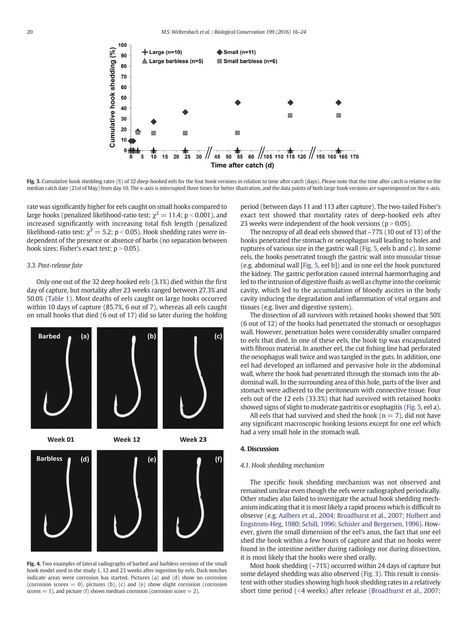<span id="page-4-0"></span>

Fig. 3. Cumulative hook shedding rates (%) of 32 deep-hooked eels for the four hook versions in relation to time after catch (days). Please note that the time after catch is relative to the median catch date (21st of May) from day 10. The x-axis is interrupted three times for better illustration, and the data points of both large hook versions are superimposed on the x-axis.

rate was significantly higher for eels caught on small hooks compared to large hooks (penalized likelihood-ratio test:  $\chi^2 = 11.4$ ; p < 0.001), and increased significantly with increasing total fish length (penalized likelihood-ratio test:  $\chi^2 = 5.2$ ; p < 0.05). Hook shedding rates were independent of the presence or absence of barbs (no separation between hook sizes; Fisher's exact test;  $p > 0.05$ ).

# 3.3. Post-release fate

Only one out of the 32 deep hooked eels (3.1%) died within the first day of capture, but mortality after 23 weeks ranged between 27.3% and 50.0% [\(Table 1](#page-2-0)). Most deaths of eels caught on large hooks occurred within 10 days of capture (85.7%, 6 out of 7), whereas all eels caught on small hooks that died (6 out of 17) did so later during the holding



Fig. 4. Two examples of lateral radiographs of barbed and barbless versions of the small hook model used in the study 1, 12 and 23 weeks after ingestion by eels. Dark notches indicate areas were corrosion has started. Pictures (a) and (d) show no corrosion (corrosion scores  $= 0$ ), pictures (b), (c) and (e) show slight corrosion (corrosion scores  $= 1$ ), and picture (f) shows medium corrosion (corrosion score  $= 2$ ).

period (between days 11 and 113 after capture). The two-tailed Fisher's exact test showed that mortality rates of deep-hooked eels after 23 weeks were independent of the hook versions ( $p > 0.05$ ).

The necropsy of all dead eels showed that ~77% (10 out of 13) of the hooks penetrated the stomach or oesophagus wall leading to holes and ruptures of various size in the gastric wall [\(Fig. 5,](#page-5-0) eels b and c). In some eels, the hooks penetrated trough the gastric wall into muscular tissue (e.g. abdominal wall [[Fig. 5,](#page-5-0) eel b]) and in one eel the hook punctured the kidney. The gastric perforation caused internal haemorrhaging and led to the intrusion of digestive fluids as well as chyme into the coelomic cavity, which led to the accumulation of bloody ascites in the body cavity inducing the degradation and inflammation of vital organs and tissues (e.g. liver and digestive system).

The dissection of all survivors with retained hooks showed that 50% (6 out of 12) of the hooks had penetrated the stomach or oesophagus wall. However, penetration holes were considerably smaller compared to eels that died. In one of these eels, the hook tip was encapsulated with fibrous material. In another eel, the cut fishing line had perforated the oesophagus wall twice and was tangled in the guts. In addition, one eel had developed an inflamed and pervasive hole in the abdominal wall, where the hook had penetrated through the stomach into the abdominal wall. In the surrounding area of this hole, parts of the liver and stomach were adhered to the peritoneum with connective tissue. Four eels out of the 12 eels (33.3%) that had survived with retained hooks showed signs of slight to moderate gastritis or esophagitis ([Fig. 5](#page-5-0), eel a).

All eels that had survived and shed the hook ( $n = 7$ ), did not have any significant macroscopic hooking lesions except for one eel which had a very small hole in the stomach wall.

# 4. Discussion

# 4.1. Hook shedding mechanism

The specific hook shedding mechanism was not observed and remained unclear even though the eels were radiographed periodically. Other studies also failed to investigate the actual hook shedding mechanism indicating that it is most likely a rapid process which is difficult to observe (e.g. [Aalbers et al., 2004; Broadhurst et al., 2007; Hulbert and](#page-7-0) [Engstrom-Heg, 1980; Schill, 1996; Schisler and Bergersen, 1996\)](#page-7-0). However, given the small dimension of the eel's anus, the fact that one eel shed the hook within a few hours of capture and that no hooks were found in the intestine neither during radiology nor during dissection, it is most likely that the hooks were shed orally.

Most hook shedding (~71%) occurred within 24 days of capture but some delayed shedding was also observed (Fig. 3). This result is consistent with other studies showing high hook shedding rates in a relatively short time period  $( $4$  weeks) after release ([Broadhurst et al., 2007;](#page-7-0)$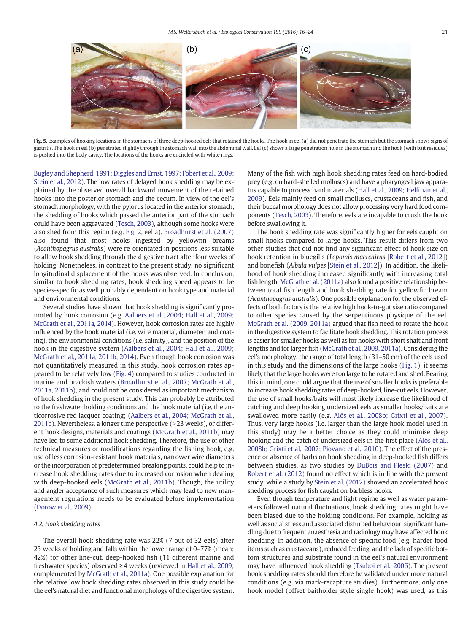<span id="page-5-0"></span>

Fig. 5. Examples of hooking locations in the stomachs of three deep-hooked eels that retained the hooks. The hook in eel (a) did not penetrate the stomach but the stomach shows signs of gastritis. The hook in eel (b) penetrated slightly through the stomach wall into the abdominal wall. Eel (c) shows a large penetration hole in the stomach and the hook (with bait residues) is pushed into the body cavity. The locations of the hooks are encircled with white rings.

[Bugley and Shepherd, 1991; Diggles and Ernst, 1997; Fobert et al., 2009;](#page-7-0) [Stein et al., 2012\)](#page-7-0). The low rates of delayed hook shedding may be explained by the observed overall backward movement of the retained hooks into the posterior stomach and the cecum. In view of the eel's stomach morphology, with the pylorus located in the anterior stomach, the shedding of hooks which passed the anterior part of the stomach could have been aggravated ([Tesch, 2003\)](#page-8-0), although some hooks were also shed from this region (e.g. [Fig. 2](#page-3-0), eel a). [Broadhurst et al. \(2007\)](#page-7-0) also found that most hooks ingested by yellowfin breams (Acanthopagrus australis) were re-orientated in positions less suitable to allow hook shedding through the digestive tract after four weeks of holding. Nonetheless, in contrast to the present study, no significant longitudinal displacement of the hooks was observed. In conclusion, similar to hook shedding rates, hook shedding speed appears to be species-specific as well probably dependent on hook type and material and environmental conditions.

Several studies have shown that hook shedding is significantly promoted by hook corrosion (e.g. [Aalbers et al., 2004; Hall et al., 2009;](#page-7-0) [McGrath et al., 2011a, 2014\)](#page-7-0). However, hook corrosion rates are highly influenced by the hook material (i.e. wire material, diameter, and coating), the environmental conditions (i.e. salinity), and the position of the hook in the digestive system ([Aalbers et al., 2004; Hall et al., 2009;](#page-7-0) [McGrath et al., 2011a, 2011b, 2014\)](#page-7-0). Even though hook corrosion was not quantitatively measured in this study, hook corrosion rates appeared to be relatively low ([Fig. 4\)](#page-4-0) compared to studies conducted in marine and brackish waters [\(Broadhurst et al., 2007; McGrath et al.,](#page-7-0) [2011a, 2011b](#page-7-0)), and could not be considered as important mechanism of hook shedding in the present study. This can probably be attributed to the freshwater holding conditions and the hook material (i.e. the anticorrosive red lacquer coating; [\(Aalbers et al., 2004; McGrath et al.,](#page-7-0) [2011b\)](#page-7-0). Nevertheless, a longer time perspective  $(>23$  weeks), or different hook designs, materials and coatings ([McGrath et al., 2011b](#page-8-0)) may have led to some additional hook shedding. Therefore, the use of other technical measures or modifications regarding the fishing hook, e.g. use of less corrosion-resistant hook materials, narrower wire diameters or the incorporation of predetermined breaking points, could help to increase hook shedding rates due to increased corrosion when dealing with deep-hooked eels ([McGrath et al., 2011b\)](#page-8-0). Though, the utility and angler acceptance of such measures which may lead to new management regulations needs to be evaluated before implementation [\(Dorow et al., 2009\)](#page-7-0).

#### 4.2. Hook shedding rates

The overall hook shedding rate was 22% (7 out of 32 eels) after 23 weeks of holding and falls within the lower range of 0–77% (mean: 42%) for other line-cut, deep-hooked fish (11 different marine and freshwater species) observed ≥4 weeks (reviewed in [Hall et al., 2009;](#page-8-0) complemented by [McGrath et al., 2011a\)](#page-8-0). One possible explanation for the relative low hook shedding rates observed in this study could be the eel's natural diet and functional morphology of the digestive system. Many of the fish with high hook shedding rates feed on hard-bodied prey (e.g. on hard-shelled molluscs) and have a pharyngeal jaw apparatus capable to process hard materials [\(Hall et al., 2009; Helfman et al.,](#page-8-0) [2009\)](#page-8-0). Eels mainly feed on small molluscs, crustaceans and fish, and their buccal morphology does not allow processing very hard food components [\(Tesch, 2003](#page-8-0)). Therefore, eels are incapable to crush the hook before swallowing it.

The hook shedding rate was significantly higher for eels caught on small hooks compared to large hooks. This result differs from two other studies that did not find any significant effect of hook size on hook retention in bluegills (Lepomis macrchirus [\[Robert et al., 2012](#page-8-0)]) and bonefish (Albula vulpes [[Stein et al., 2012](#page-8-0)]). In addition, the likelihood of hook shedding increased significantly with increasing total fish length. [McGrath et al. \(2011a\)](#page-8-0) also found a positive relationship between total fish length and hook shedding rate for yellowfin bream (Acanthopagrus australis). One possible explanation for the observed effects of both factors is the relative high hook-to-gut size ratio compared to other species caused by the serpentinous physique of the eel. [McGrath et al. \(2009, 2011a\)](#page-8-0) argued that fish need to rotate the hook in the digestive system to facilitate hook shedding. This rotation process is easier for smaller hooks as well as for hooks with short shaft and front lengths and for larger fish ([McGrath et al., 2009, 2011a](#page-8-0)). Considering the eel's morphology, the range of total length (31–50 cm) of the eels used in this study and the dimensions of the large hooks [\(Fig. 1\)](#page-1-0), it seems likely that the large hooks were too large to be rotated and shed. Bearing this in mind, one could argue that the use of smaller hooks is preferable to increase hook shedding rates of deep-hooked, line-cut eels. However, the use of small hooks/baits will most likely increase the likelihood of catching and deep hooking undersized eels as smaller hooks/baits are swallowed more easily (e.g. [Alós et al., 2008b; Grixti et al., 2007](#page-7-0)). Thus, very large hooks (i.e. larger than the large hook model used in this study) may be a better choice as they could minimise deep hooking and the catch of undersized eels in the first place ([Alós et al.,](#page-7-0) [2008b; Grixti et al., 2007; Piovano et al., 2010\)](#page-7-0). The effect of the presence or absence of barbs on hook shedding in deep-hooked fish differs between studies, as two studies by [DuBois and Pleski \(2007\)](#page-7-0) and [Robert et al. \(2012\)](#page-8-0) found no effect which is in line with the present study, while a study by [Stein et al. \(2012\)](#page-8-0) showed an accelerated hook shedding process for fish caught on barbless hooks.

Even though temperature and light regime as well as water parameters followed natural fluctuations, hook shedding rates might have been biased due to the holding conditions. For example, holding as well as social stress and associated disturbed behaviour, significant handling due to frequent anaesthesia and radiology may have affected hook shedding. In addition, the absence of specific food (e.g. harder food items such as crustaceans), reduced feeding, and the lack of specific bottom structures and substrate found in the eel's natural environment may have influenced hook shedding [\(Tsuboi et al., 2006\)](#page-8-0). The present hook shedding rates should therefore be validated under more natural conditions (e.g. via mark-recapture studies). Furthermore, only one hook model (offset baitholder style single hook) was used, as this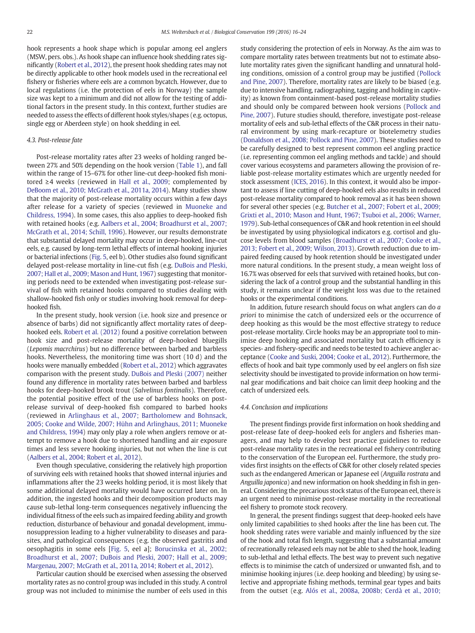hook represents a hook shape which is popular among eel anglers (MSW, pers. obs.). As hook shape can influence hook shedding rates significantly [\(Robert et al., 2012\)](#page-8-0), the present hook shedding rates may not be directly applicable to other hook models used in the recreational eel fishery or fisheries where eels are a common bycatch. However, due to local regulations (i.e. the protection of eels in Norway) the sample size was kept to a minimum and did not allow for the testing of additional factors in the present study. In this context, further studies are needed to assess the effects of different hook styles/shapes (e.g. octopus, single egg or Aberdeen style) on hook shedding in eel.

#### 4.3. Post-release fate

Post-release mortality rates after 23 weeks of holding ranged between 27% and 50% depending on the hook version ([Table 1\)](#page-2-0), and fall within the range of 15–67% for other line-cut deep-hooked fish monitored ≥4 weeks (reviewed in [Hall et al., 2009;](#page-8-0) complemented by [DeBoom et al., 2010; McGrath et al., 2011a, 2014](#page-7-0)). Many studies show that the majority of post-release mortality occurs within a few days after release for a variety of species (reviewed in [Muoneke and](#page-8-0) [Childress, 1994](#page-8-0)). In some cases, this also applies to deep-hooked fish with retained hooks (e.g. [Aalbers et al., 2004; Broadhurst et al., 2007;](#page-7-0) [McGrath et al., 2014; Schill, 1996\)](#page-7-0). However, our results demonstrate that substantial delayed mortality may occur in deep-hooked, line-cut eels, e.g. caused by long-term lethal effects of internal hooking injuries or bacterial infections [\(Fig. 5,](#page-5-0) eel b). Other studies also found significant delayed post-release mortality in line-cut fish (e.g. [DuBois and Pleski,](#page-7-0) [2007; Hall et al., 2009; Mason and Hunt, 1967\)](#page-7-0) suggesting that monitoring periods need to be extended when investigating post-release survival of fish with retained hooks compared to studies dealing with shallow-hooked fish only or studies involving hook removal for deephooked fish.

In the present study, hook version (i.e. hook size and presence or absence of barbs) did not significantly affect mortality rates of deephooked eels. [Robert et al. \(2012\)](#page-8-0) found a positive correlation between hook size and post-release mortality of deep-hooked bluegills (Lepomis macrchirus) but no difference between barbed and barbless hooks. Nevertheless, the monitoring time was short (10 d) and the hooks were manually embedded [\(Robert et al., 2012\)](#page-8-0) which aggravates comparison with the present study. [DuBois and Pleski \(2007\)](#page-7-0) neither found any difference in mortality rates between barbed and barbless hooks for deep-hooked brook trout (Salvelinus fontinalis). Therefore, the potential positive effect of the use of barbless hooks on postrelease survival of deep-hooked fish compared to barbed hooks (reviewed in [Arlinghaus et al., 2007; Bartholomew and Bohnsack,](#page-7-0) [2005; Cooke and Wilde, 2007; Hühn and Arlinghaus, 2011; Muoneke](#page-7-0) [and Childress, 1994\)](#page-7-0) may only play a role when anglers remove or attempt to remove a hook due to shortened handling and air exposure times and less severe hooking injuries, but not when the line is cut [\(Aalbers et al., 2004; Robert et al., 2012](#page-7-0)).

Even though speculative, considering the relatively high proportion of surviving eels with retained hooks that showed internal injuries and inflammations after the 23 weeks holding period, it is most likely that some additional delayed mortality would have occurred later on. In addition, the ingested hooks and their decomposition products may cause sub-lethal long-term consequences negatively influencing the individual fitness of the eels such as impaired feeding ability and growth reduction, disturbance of behaviour and gonadal development, immunosuppression leading to a higher vulnerability to diseases and parasites, and pathological consequences (e.g. the observed gastritis and oesophagitis in some eels [\[Fig. 5](#page-5-0), eel a]; [Borucinska et al., 2002;](#page-7-0) [Broadhurst et al., 2007; DuBois and Pleski, 2007; Hall et al., 2009;](#page-7-0) [Margenau, 2007; McGrath et al., 2011a, 2014; Robert et al., 2012](#page-7-0)).

Particular caution should be exercised when assessing the observed mortality rates as no control group was included in this study. A control group was not included to minimise the number of eels used in this study considering the protection of eels in Norway. As the aim was to compare mortality rates between treatments but not to estimate absolute mortality rates given the significant handling and unnatural holding conditions, omission of a control group may be justified [\(Pollock](#page-8-0) [and Pine, 2007\)](#page-8-0). Therefore, mortality rates are likely to be biased (e.g. due to intensive handling, radiographing, tagging and holding in captivity) as known from containment-based post-release mortality studies and should only be compared between hook versions ([Pollock and](#page-8-0) [Pine, 2007\)](#page-8-0). Future studies should, therefore, investigate post-release mortality of eels and sub-lethal effects of the C&R process in their natural environment by using mark-recapture or biotelemetry studies [\(Donaldson et al., 2008; Pollock and Pine, 2007\)](#page-7-0). These studies need to be carefully designed to best represent common eel angling practice (i.e. representing common eel angling methods and tackle) and should cover various ecosystems and parameters allowing the provision of reliable post-release mortality estimates which are urgently needed for stock assessment ([ICES, 2016](#page-8-0)). In this context, it would also be important to assess if line cutting of deep-hooked eels also results in reduced post-release mortality compared to hook removal as it has been shown for several other species (e.g. [Butcher et al., 2007; Fobert et al., 2009;](#page-7-0) [Grixti et al., 2010; Mason and Hunt, 1967; Tsuboi et al., 2006; Warner,](#page-7-0) [1979\)](#page-7-0). Sub-lethal consequences of C&R and hook retention in eel should be investigated by using physiological indicators e.g. cortisol and glucose levels from blood samples [\(Broadhurst et al., 2007; Cooke et al.,](#page-7-0) [2013; Fobert et al., 2009; Wilson, 2013](#page-7-0)). Growth reduction due to impaired feeding caused by hook retention should be investigated under more natural conditions. In the present study, a mean weight loss of 16.7% was observed for eels that survived with retained hooks, but considering the lack of a control group and the substantial handling in this study, it remains unclear if the weight loss was due to the retained hooks or the experimental conditions.

In addition, future research should focus on what anglers can do a priori to minimise the catch of undersized eels or the occurrence of deep hooking as this would be the most effective strategy to reduce post-release mortality. Circle hooks may be an appropriate tool to minimise deep hooking and associated mortality but catch efficiency is species- and fishery-specific and needs to be tested to achieve angler acceptance ([Cooke and Suski, 2004; Cooke et al., 2012](#page-7-0)). Furthermore, the effects of hook and bait type commonly used by eel anglers on fish size selectivity should be investigated to provide information on how terminal gear modifications and bait choice can limit deep hooking and the catch of undersized eels.

#### 4.4. Conclusion and implications

The present findings provide first information on hook shedding and post-release fate of deep-hooked eels for anglers and fisheries managers, and may help to develop best practice guidelines to reduce post-release mortality rates in the recreational eel fishery contributing to the conservation of the European eel. Furthermore, the study provides first insights on the effects of C&R for other closely related species such as the endangered American or Japanese eel (Anguilla rostrata and Anguilla japonica) and new information on hook shedding in fish in general. Considering the precarious stock status of the European eel, there is an urgent need to minimise post-release mortality in the recreational eel fishery to promote stock recovery.

In general, the present findings suggest that deep-hooked eels have only limited capabilities to shed hooks after the line has been cut. The hook shedding rates were variable and mainly influenced by the size of the hook and total fish length, suggesting that a substantial amount of recreationally released eels may not be able to shed the hook, leading to sub-lethal and lethal effects. The best way to prevent such negative effects is to minimise the catch of undersized or unwanted fish, and to minimise hooking injures (i.e. deep hooking and bleeding) by using selective and appropriate fishing methods, terminal gear types and baits from the outset (e.g. [Alós et al., 2008a, 2008b; Cerdà et al., 2010;](#page-7-0)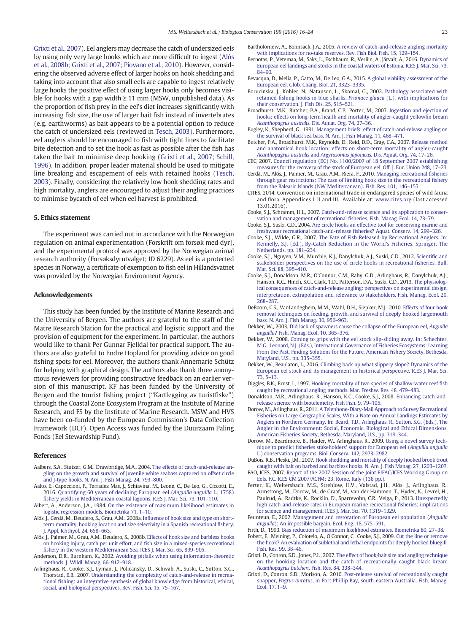<span id="page-7-0"></span>Grixti et al., 2007). Eel anglers may decrease the catch of undersized eels by using only very large hooks which are more difficult to ingest (Alós et al., 2008b; Grixti et al., 2007; Piovano et al., 2010). However, considering the observed adverse effect of larger hooks on hook shedding and taking into account that also small eels are capable to ingest relatively large hooks the positive effect of using larger hooks only becomes visible for hooks with a gap width  $\geq 11$  mm (MSW, unpublished data). As the proportion of fish prey in the eel's diet increases significantly with increasing fish size, the use of larger bait fish instead of invertebrates (e.g. earthworms) as bait appears to be a potential option to reduce the catch of undersized eels (reviewed in [Tesch, 2003](#page-8-0)). Furthermore, eel anglers should be encouraged to fish with tight lines to facilitate bite detection and to set the hook as fast as possible after the fish has taken the bait to minimise deep hooking (Grixti et al., 2007; Schill, 1996). In addition, proper leader material should be used to mitigate line breaking and escapement of eels with retained hooks ([Tesch,](#page-8-0) [2003\)](#page-8-0). Finally, considering the relatively low hook shedding rates and high mortality, anglers are encouraged to adjust their angling practices to minimise bycatch of eel when eel harvest is prohibited.

#### 5. Ethics statement

The experiment was carried out in accordance with the Norwegian regulation on animal experimentation (Forskrift om forsøk med dyr), and the experimental protocol was approved by the Norwegian animal research authority (Forsøksdyrutvalget; ID 6229). As eel is a protected species in Norway, a certificate of exemption to fish eel in Hillandsvatnet was provided by the Norwegian Environment Agency.

#### Acknowledgements

This study has been funded by the Institute of Marine Research and the University of Bergen. The authors are grateful to the staff of the Matre Research Station for the practical and logistic support and the provision of equipment for the experiment. In particular, the authors would like to thank Per Gunnar Fjelldal for practical support. The authors are also grateful to Endre Hopland for providing advice on good fishing spots for eel. Moreover, the authors thank Annemarie Schütz for helping with graphical design. The authors also thank three anonymous reviewers for providing constructive feedback on an earlier version of this manuscript. KF has been funded by the University of Bergen and the tourist fishing project ("Kartlegging av turistfiske") through the Coastal Zone Ecosystem Program at the Institute of Marine Research, and FS by the Institute of Marine Research. MSW and HVS have been co-funded by the European Commission's Data Collection Framework (DCF). Open Access was funded by the Duurzaam Paling Fonds (Eel Stewardship Fund).

#### References

- Aalbers, S.A., Stutzer, G.M., Drawbridge, M.A., 2004. [The effects of catch-and-release an](http://refhub.elsevier.com/S0006-3207(16)30151-3/rf0005)[gling on the growth and survival of juvenile white seabass captured on offset circle](http://refhub.elsevier.com/S0006-3207(16)30151-3/rf0005) [and J-type hooks. N. Am. J. Fish Manag. 24, 793](http://refhub.elsevier.com/S0006-3207(16)30151-3/rf0005)–800.
- Aalto, E., Capoccioni, F., Terradez Mas, J., Schiavina, M., Leone, C., De Leo, G., Ciccotti, E., 2016. [Quantifying 60 years of declining European eel \(](http://refhub.elsevier.com/S0006-3207(16)30151-3/rf0010)Anguilla anguilla L., 1758) fi[shery yields in Mediterranean coastal lagoons. ICES J. Mar. Sci. 73, 101](http://refhub.elsevier.com/S0006-3207(16)30151-3/rf0010)–110.
- Albert, A., Anderson, J.A., 1984. [On the existence of maximum likelihood estimates in](http://refhub.elsevier.com/S0006-3207(16)30151-3/rf0015) [logistic regression models. Biometrika 71, 1](http://refhub.elsevier.com/S0006-3207(16)30151-3/rf0015)–10.
- Alós, J., Cerdà, M., Deudero, S., Grau, A.M., 2008a. Infl[uence of hook size and type on short](http://refhub.elsevier.com/S0006-3207(16)30151-3/rf0020)[term mortality, hooking location and size selectivity in a Spanish recreational](http://refhub.elsevier.com/S0006-3207(16)30151-3/rf0020) fishery. [J. Appl. Ichthyol. 24, 658](http://refhub.elsevier.com/S0006-3207(16)30151-3/rf0020)–663.
- Alós, J., Palmer, M., Grau, A.M., Deudero, S., 2008b. [Effects of hook size and barbless hooks](http://refhub.elsevier.com/S0006-3207(16)30151-3/rf0025) [on hooking injury, catch per unit effort, and](http://refhub.elsevier.com/S0006-3207(16)30151-3/rf0025) fish size in a mixed-species recreational fi[shery in the western Mediterranean Sea. ICES J. Mar. Sci. 65, 899](http://refhub.elsevier.com/S0006-3207(16)30151-3/rf0025)–905.
- Anderson, D.R., Burnham, K., 2002. [Avoiding pitfalls when using information-theoretic](http://refhub.elsevier.com/S0006-3207(16)30151-3/rf0030) [methods. J. Wildl. Manag. 66, 912](http://refhub.elsevier.com/S0006-3207(16)30151-3/rf0030)–918.
- Arlinghaus, R., Cooke, S.J., Lyman, J., Policansky, D., Schwab, A., Suski, C., Sutton, S.G., Thorstad, E.B., 2007. [Understanding the complexity of catch-and-release in recrea](http://refhub.elsevier.com/S0006-3207(16)30151-3/rf0035)tional fi[shing: an integrative synthesis of global knowledge from historical, ethical,](http://refhub.elsevier.com/S0006-3207(16)30151-3/rf0035) [social, and biological perspectives. Rev. Fish. Sci. 15, 75](http://refhub.elsevier.com/S0006-3207(16)30151-3/rf0035)–167.
- Bartholomew, A., Bohnsack, J.A., 2005. [A review of catch-and-release angling mortality](http://refhub.elsevier.com/S0006-3207(16)30151-3/rf0040) [with implications for no-take reserves. Rev. Fish Biol. Fish. 15, 129](http://refhub.elsevier.com/S0006-3207(16)30151-3/rf0040)–154.
- Bernotas, P., Vetemaa, M., Saks, L., Eschbaum, R., Verliin, A., Järvalt, A., 2016. [Dynamics of](http://refhub.elsevier.com/S0006-3207(16)30151-3/rf0045) [European eel landings and stocks in the coastal waters of Estonia. ICES J. Mar. Sci. 73,](http://refhub.elsevier.com/S0006-3207(16)30151-3/rf0045) [84](http://refhub.elsevier.com/S0006-3207(16)30151-3/rf0045)–90.
- Bevacqua, D., Melia, P., Gatto, M., De Leo, G.A., 2015. [A global viability assessment of the](http://refhub.elsevier.com/S0006-3207(16)30151-3/rf0050) [European eel. Glob. Chang. Biol. 21, 3323](http://refhub.elsevier.com/S0006-3207(16)30151-3/rf0050)–3335.
- Borucinska, J., Kohler, N., Natanson, L., Skomal, G., 2002. [Pathology associated with](http://refhub.elsevier.com/S0006-3207(16)30151-3/rf0055) retained fi[shing hooks in blue sharks,](http://refhub.elsevier.com/S0006-3207(16)30151-3/rf0055) Prionace glauca (L.), with implications for [their conservation. J. Fish Dis. 25, 515](http://refhub.elsevier.com/S0006-3207(16)30151-3/rf0055)–521.
- Broadhurst, M.K., Butcher, P.A., Brand, C.P., Porter, M., 2007. [Ingestion and ejection of](http://refhub.elsevier.com/S0006-3207(16)30151-3/rf0060) [hooks: effects on long-term health and mortality of angler-caught yellow](http://refhub.elsevier.com/S0006-3207(16)30151-3/rf0060)fin bream Acanthopagrus australis[. Dis. Aquat. Org. 74, 27](http://refhub.elsevier.com/S0006-3207(16)30151-3/rf0060)–36.
- Bugley, K., Shepherd, G., 1991. [Management briefs: effect of catch-and-release angling on](http://refhub.elsevier.com/S0006-3207(16)30151-3/rf0065) [the survival of black sea bass. N. Am. J. Fish Manag. 11, 468](http://refhub.elsevier.com/S0006-3207(16)30151-3/rf0065)–471.
- Butcher, P.A., Broadhurst, M.K., Reynolds, D., Reid, D.D., Gray, C.A., 2007. [Release method](http://refhub.elsevier.com/S0006-3207(16)30151-3/rf0070) [and anatomical hook location: effects on short-term mortality of angler-caught](http://refhub.elsevier.com/S0006-3207(16)30151-3/rf0070) Acanthopagrus australis and Argyrosomus japonicus[. Dis. Aquat. Org. 74, 17](http://refhub.elsevier.com/S0006-3207(16)30151-3/rf0070)–26.
- CEC, 2007. [Council regulation \(EC\) No. 1100/2007 of 18 September 2007 establishing](http://refhub.elsevier.com/S0006-3207(16)30151-3/rf0075) [measures for the recovery of the stock of European eel. Off. J. Eur. Union 248, 17](http://refhub.elsevier.com/S0006-3207(16)30151-3/rf0075)–23.
- Cerdà, M., Alós, J., Palmer, M., Grau, A.M., Riera, F., 2010. [Managing recreational](http://refhub.elsevier.com/S0006-3207(16)30151-3/rf0080) fisheries [through gear restrictions: The case of limiting hook size in the recreational](http://refhub.elsevier.com/S0006-3207(16)30151-3/rf0080) fishery [from the Balearic Islands \(NW Mediterranean\). Fish. Res. 101, 146](http://refhub.elsevier.com/S0006-3207(16)30151-3/rf0080)–155.
- CITES, 2014. Convention on international trade in endangered species of wild fauna and flora, Appendices I, II and III. Available at: [www.cites.org](http://www.cites.org) (last accessed 13.01.2016).
- Cooke, S.J., Schramm, H.L., 2007. [Catch-and-release science and its application to conser](http://refhub.elsevier.com/S0006-3207(16)30151-3/rf0090)[vation and management of recreational](http://refhub.elsevier.com/S0006-3207(16)30151-3/rf0090) fisheries. Fish. Manag. Ecol. 14, 73–79.
- Cooke, S.J., Suski, C.D., 2004. [Are circle hooks an effective tool for conserving marine and](http://refhub.elsevier.com/S0006-3207(16)30151-3/rf0095) [freshwater recreational catch-and-release](http://refhub.elsevier.com/S0006-3207(16)30151-3/rf0095) fisheries? Aquat. Conserv. 14, 299–326.
- Cooke, S.J., Wilde, G.R., 2007. [The Fate of Fish Released by Recreational Anglers. In:](http://refhub.elsevier.com/S0006-3207(16)30151-3/rf0100) [Kennelly, S.J. \(Ed.\), By-Catch Reduction in the World's Fisheries. Springer, The](http://refhub.elsevier.com/S0006-3207(16)30151-3/rf0100) [Netherlands, pp. 181](http://refhub.elsevier.com/S0006-3207(16)30151-3/rf0100)–234.
- Cooke, S.J., Nguyen, V.M., Murchie, K.J., Danylchuk, A.J., Suski, C.D., 2012. [Scienti](http://refhub.elsevier.com/S0006-3207(16)30151-3/rf0105)fic and [stakeholder perspectives on the use of circle hooks in recreational](http://refhub.elsevier.com/S0006-3207(16)30151-3/rf0105) fisheries. Bull. [Mar. Sci. 88, 395](http://refhub.elsevier.com/S0006-3207(16)30151-3/rf0105)–410.
- Cooke, S.J., Donaldson, M.R., O'Connor, C.M., Raby, G.D., Arlinghaus, R., Danylchuk, A.J., Hanson, K.C., Hinch, S.G., Clark, T.D., Patterson, D.A., Suski, C.D., 2013. [The physiolog](http://refhub.elsevier.com/S0006-3207(16)30151-3/rf0110)[ical consequences of catch-and-release angling: perspectives on experimental design,](http://refhub.elsevier.com/S0006-3207(16)30151-3/rf0110) [interpretation, extrapolation and relevance to stakeholders. Fish. Manag. Ecol. 20,](http://refhub.elsevier.com/S0006-3207(16)30151-3/rf0110) [268](http://refhub.elsevier.com/S0006-3207(16)30151-3/rf0110)–287.
- DeBoom, C.S., VanLandeghem, M.M., Wahl, D.H., Siepker, M.J., 2010. [Effects of four hook](http://refhub.elsevier.com/S0006-3207(16)30151-3/rf0115) [removal techniques on feeding, growth, and survival of deeply hooked largemouth](http://refhub.elsevier.com/S0006-3207(16)30151-3/rf0115) [bass. N. Am. J. Fish Manag. 30, 956](http://refhub.elsevier.com/S0006-3207(16)30151-3/rf0115)–963.
- Dekker, W., 2003. [Did lack of spawners cause the collapse of the European eel,](http://refhub.elsevier.com/S0006-3207(16)30151-3/rf0120) Anguilla anguilla[? Fish. Manag. Ecol. 10, 365](http://refhub.elsevier.com/S0006-3207(16)30151-3/rf0120)–376.
- Dekker, W., 2008. [Coming to grips with the eel stock slip-sliding away. In: Schechter,](http://refhub.elsevier.com/S0006-3207(16)30151-3/rf0125) [M.G., Leonard, N.J. \(Eds.\), International Governance of Fisheries Ecosystems: Learning](http://refhub.elsevier.com/S0006-3207(16)30151-3/rf0125) [From the Past, Finding Solutions for the Future. American Fishery Society, Bethesda,](http://refhub.elsevier.com/S0006-3207(16)30151-3/rf0125) [Maryland, U.S., pp. 335](http://refhub.elsevier.com/S0006-3207(16)30151-3/rf0125)–355.
- Dekker, W., Beaulaton, L., 2016. [Climbing back up what slippery slope? Dynamics of the](http://refhub.elsevier.com/S0006-3207(16)30151-3/rf0130) [European eel stock and its management in historical perspective. ICES J. Mar. Sci.](http://refhub.elsevier.com/S0006-3207(16)30151-3/rf0130) [73, 5](http://refhub.elsevier.com/S0006-3207(16)30151-3/rf0130)–13.
- Diggles, B.K., Ernst, I., 1997. [Hooking mortality of two species of shallow-water reef](http://refhub.elsevier.com/S0006-3207(16)30151-3/rf0135) fish [caught by recreational angling methods. Mar. Freshw. Res. 48, 479](http://refhub.elsevier.com/S0006-3207(16)30151-3/rf0135)–483.
- Donaldson, M.R., Arlinghaus, R., Hanson, K.C., Cooke, S.J., 2008. [Enhancing catch-and](http://refhub.elsevier.com/S0006-3207(16)30151-3/rf0140)[release science with biotelemetry. Fish Fish. 9, 79](http://refhub.elsevier.com/S0006-3207(16)30151-3/rf0140)–105.
- Dorow, M., Arlinghaus, R., 2011. [A Telephone-Diary-Mail Approach to Survey Recreational](http://refhub.elsevier.com/S0006-3207(16)30151-3/rf0145) [Fisheries on Large Geographic Scales, With a Note on Annual Landings Estimates by](http://refhub.elsevier.com/S0006-3207(16)30151-3/rf0145) [Anglers in Northern Germany. In: Beard, T.D., Arlinghaus, R., Sutton, S.G. \(Eds.\), The](http://refhub.elsevier.com/S0006-3207(16)30151-3/rf0145) [Angler in the Environment: Social, Economic, Biological and Ethical Dimensions.](http://refhub.elsevier.com/S0006-3207(16)30151-3/rf0145) [American Fisheries Society, Bethesda, Maryland, U.S., pp. 319](http://refhub.elsevier.com/S0006-3207(16)30151-3/rf0145)–344.
- Dorow, M., Beardmore, B., Haider, W., Arlinghaus, R., 2009. [Using a novel survey tech](http://refhub.elsevier.com/S0006-3207(16)30151-3/rf0150)nique to predict fi[sheries stakeholders' support for European eel \(](http://refhub.elsevier.com/S0006-3207(16)30151-3/rf0150)Anguilla anguilla [L.\) conservation programs. Biol. Conserv. 142, 2973](http://refhub.elsevier.com/S0006-3207(16)30151-3/rf0150)–2982.
- DuBois, R.B., Pleski, J.M., 2007. [Hook shedding and mortality of deeply hooked brook trout](http://refhub.elsevier.com/S0006-3207(16)30151-3/rf0155) [caught with bait on barbed and barbless hooks. N. Am. J. Fish Manag. 27, 1203](http://refhub.elsevier.com/S0006-3207(16)30151-3/rf0155)–1207.
- FAO, ICES, 2007. [Report of the 2007 Session of the Joint EIFAC/ICES Working Group on](http://refhub.elsevier.com/S0006-3207(16)30151-3/rf0160) [Eels. F.C. ICES CM 2007/ACFM: 23. Rome, Italy \(138 pp.\).](http://refhub.elsevier.com/S0006-3207(16)30151-3/rf0160)
- Ferter, K., Weltersbach, M.S., Strehlow, H.V., Vølstad, J.H., Alós, J., Arlinghaus, R., Armstrong, M., Dorow, M., de Graaf, M., van der Hammen, T., Hyder, K., Levrel, H., Paulrud, A., Radtke, K., Rocklin, D., Sparrevohn, C.R., Veiga, P., 2013. [Unexpectedly](http://refhub.elsevier.com/S0006-3207(16)30151-3/rf0165) [high catch-and-release rates in European marine recreational](http://refhub.elsevier.com/S0006-3207(16)30151-3/rf0165) fisheries: implications [for science and management. ICES J. Mar. Sci. 70, 1319](http://refhub.elsevier.com/S0006-3207(16)30151-3/rf0165)–1329.
- Feunteun, E., 2002. [Management and restoration of European eel population \(](http://refhub.elsevier.com/S0006-3207(16)30151-3/rf0170)Anguilla anguilla[\): An impossible bargain. Ecol. Eng. 18, 575](http://refhub.elsevier.com/S0006-3207(16)30151-3/rf0170)–591.
- Firth, D., 1993. [Bias reduction of maximum likelihood estimates. Biometrika 80, 27](http://refhub.elsevier.com/S0006-3207(16)30151-3/rf0175)–38.
- Fobert, E., Meining, P., Colotelo, A., O'Connor, C., Cooke, S.J., 2009. [Cut the line or remove](http://refhub.elsevier.com/S0006-3207(16)30151-3/rf0180) [the hook? An evaluation of sublethal and lethal endpoints for deeply hooked bluegill.](http://refhub.elsevier.com/S0006-3207(16)30151-3/rf0180) [Fish. Res. 99, 38](http://refhub.elsevier.com/S0006-3207(16)30151-3/rf0180)–46.
- Grixti, D., Conron, S.D., Jones, P.L., 2007. [The effect of hook/bait size and angling technique](http://refhub.elsevier.com/S0006-3207(16)30151-3/rf0185) [on the hooking location and the catch of recreationally caught black bream](http://refhub.elsevier.com/S0006-3207(16)30151-3/rf0185) [Acanthopagrus butcheri](http://refhub.elsevier.com/S0006-3207(16)30151-3/rf0185). Fish. Res. 84, 338–344.
- Grixti, D., Conron, S.D., Morison, A., 2010. [Post-release survival of recreationally caught](http://refhub.elsevier.com/S0006-3207(16)30151-3/rf0190) snapper, Pagrus auratus[, in Port Phillip Bay, south-eastern Australia. Fish. Manag.](http://refhub.elsevier.com/S0006-3207(16)30151-3/rf0190) [Ecol. 17, 1](http://refhub.elsevier.com/S0006-3207(16)30151-3/rf0190)–9.